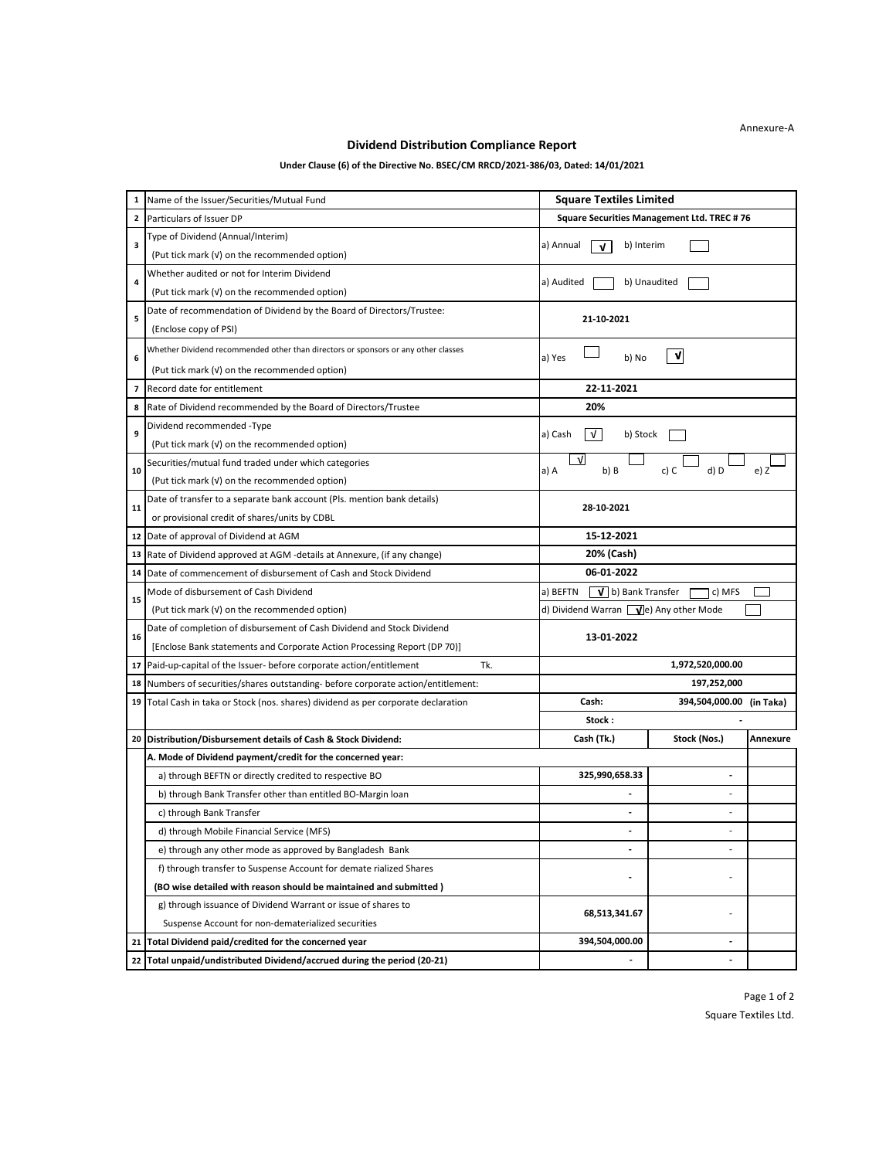## **Dividend Distribution Compliance Report**

## **Under Clause (6) of the Directive No. BSEC/CM RRCD/2021-386/03, Dated: 14/01/2021**

| 1            | Name of the Issuer/Securities/Mutual Fund                                          | <b>Square Textiles Limited</b>                        |  |  |
|--------------|------------------------------------------------------------------------------------|-------------------------------------------------------|--|--|
| $\mathbf{z}$ | Particulars of Issuer DP                                                           | Square Securities Management Ltd. TREC #76            |  |  |
|              | Type of Dividend (Annual/Interim)                                                  |                                                       |  |  |
| 3            | (Put tick mark (v) on the recommended option)                                      | a) Annual<br>b) Interim<br>v                          |  |  |
| 4            | Whether audited or not for Interim Dividend                                        |                                                       |  |  |
|              | (Put tick mark (v) on the recommended option)                                      | a) Audited<br>b) Unaudited                            |  |  |
| 5            | Date of recommendation of Dividend by the Board of Directors/Trustee:              | 21-10-2021                                            |  |  |
|              | (Enclose copy of PSI)                                                              |                                                       |  |  |
| 6            | Whether Dividend recommended other than directors or sponsors or any other classes | V<br>a) Yes<br>b) No                                  |  |  |
|              | (Put tick mark (v) on the recommended option)                                      |                                                       |  |  |
| 7            | Record date for entitlement                                                        | 22-11-2021                                            |  |  |
| 8            | Rate of Dividend recommended by the Board of Directors/Trustee                     | 20%                                                   |  |  |
| 9            | Dividend recommended -Type                                                         | a) Cash<br>v l<br>b) Stock                            |  |  |
|              | (Put tick mark (v) on the recommended option)                                      |                                                       |  |  |
| 10           | Securities/mutual fund traded under which categories                               | V<br>a) A<br>b) B<br>c) C<br>d) D<br>e) Z             |  |  |
|              | (Put tick mark (v) on the recommended option)                                      |                                                       |  |  |
| 11           | Date of transfer to a separate bank account (Pls. mention bank details)            | 28-10-2021                                            |  |  |
|              | or provisional credit of shares/units by CDBL                                      |                                                       |  |  |
| 12           | Date of approval of Dividend at AGM                                                | 15-12-2021                                            |  |  |
| 13           | Rate of Dividend approved at AGM -details at Annexure, (if any change)             | 20% (Cash)                                            |  |  |
| 14           | Date of commencement of disbursement of Cash and Stock Dividend                    | 06-01-2022                                            |  |  |
| 15           | Mode of disbursement of Cash Dividend                                              | a) BEFTN<br>$\mathbf{V}$   b) Bank Transfer<br>c) MFS |  |  |
|              | (Put tick mark (v) on the recommended option)                                      | d) Dividend Warran $\sqrt{e}$ Any other Mode          |  |  |
| 16           | Date of completion of disbursement of Cash Dividend and Stock Dividend             | 13-01-2022                                            |  |  |
|              | [Enclose Bank statements and Corporate Action Processing Report (DP 70)]           |                                                       |  |  |
| 17           | Tk.<br>Paid-up-capital of the Issuer- before corporate action/entitlement          | 1,972,520,000.00                                      |  |  |
| 18           | Numbers of securities/shares outstanding- before corporate action/entitlement:     | 197,252,000                                           |  |  |
| 19           | Total Cash in taka or Stock (nos. shares) dividend as per corporate declaration    | Cash:<br>394,504,000.00 (in Taka)<br>Stock:           |  |  |
| 20           | Distribution/Disbursement details of Cash & Stock Dividend:                        | Stock (Nos.)<br>Cash (Tk.)<br>Annexure                |  |  |
|              | A. Mode of Dividend payment/credit for the concerned year:                         |                                                       |  |  |
|              | a) through BEFTN or directly credited to respective BO                             | 325,990,658.33                                        |  |  |
|              | b) through Bank Transfer other than entitled BO-Margin loan                        |                                                       |  |  |
|              | c) through Bank Transfer                                                           | $\overline{a}$                                        |  |  |
|              | d) through Mobile Financial Service (MFS)                                          |                                                       |  |  |
|              | e) through any other mode as approved by Bangladesh Bank                           |                                                       |  |  |
|              | f) through transfer to Suspense Account for demate rialized Shares                 |                                                       |  |  |
|              | (BO wise detailed with reason should be maintained and submitted)                  | ÷<br>$\overline{a}$                                   |  |  |
|              | g) through issuance of Dividend Warrant or issue of shares to                      |                                                       |  |  |
|              | Suspense Account for non-dematerialized securities                                 | 68,513,341.67                                         |  |  |
| 21           | Total Dividend paid/credited for the concerned year                                | 394,504,000.00<br>$\overline{\phantom{a}}$            |  |  |
| 22           | Total unpaid/undistributed Dividend/accrued during the period (20-21)              |                                                       |  |  |